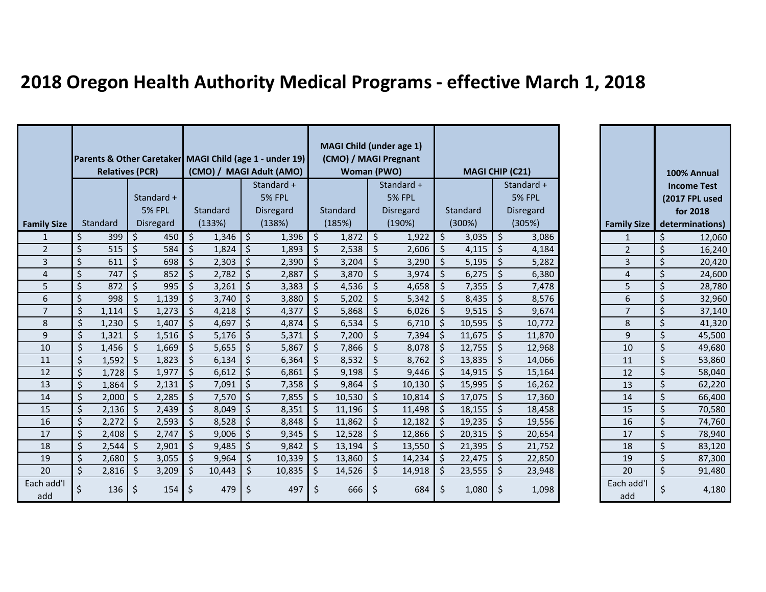## **2018 Oregon Health Authority Medical Programs - effective March 1, 2018**

|                         | <b>Relatives (PCR)</b>   |            |         | Parents & Other Caretaker MAGI Child (age 1 - under 19)<br>(CMO) / MAGI Adult (AMO) |                    |        |                     | <b>MAGI Child (under age 1)</b><br>(CMO) / MAGI Pregnant<br><b>Woman (PWO)</b> |                    |        |                     | <b>MAGI CHIP (C21)</b> |                    |        |                     |               |                    | 100% Annual |                             |
|-------------------------|--------------------------|------------|---------|-------------------------------------------------------------------------------------|--------------------|--------|---------------------|--------------------------------------------------------------------------------|--------------------|--------|---------------------|------------------------|--------------------|--------|---------------------|---------------|--------------------|-------------|-----------------------------|
|                         |                          |            |         |                                                                                     |                    |        | Standard +          |                                                                                |                    |        |                     | Standard +             |                    |        |                     | Standard +    |                    |             | <b>Income Test</b>          |
|                         |                          |            |         | Standard +<br><b>5% FPL</b>                                                         |                    |        |                     | <b>5% FPL</b>                                                                  |                    |        |                     | <b>5% FPL</b>          |                    |        |                     | <b>5% FPL</b> |                    |             | (2017 FPL used              |
|                         |                          | Standard   |         | Disregard                                                                           | Standard<br>(133%) |        | Disregard<br>(138%) |                                                                                | Standard<br>(185%) |        | Disregard<br>(190%) |                        | Standard<br>(300%) |        | Disregard<br>(305%) |               | <b>Family Size</b> |             | for 2018<br>determinations) |
| <b>Family Size</b><br>1 | \$                       | 399        | $\zeta$ | 450                                                                                 | \$                 | 1,346  | $\zeta$             | 1,396                                                                          | $\zeta$            | 1,872  | $\vert$ \$          | 1,922                  | $\zeta$            | 3,035  | $\zeta$             | 3,086         | $\mathbf{1}$       | \$          | 12,060                      |
| $\overline{2}$          | Ś.                       | 515        | $\zeta$ | 584                                                                                 | $\zeta$            | 1,824  | \$                  | 1,893                                                                          | $\zeta$            | 2,538  | \$                  | 2,606                  | Ś.                 | 4,115  | \$                  | 4,184         | $\overline{2}$     | $\zeta$     | 16,240                      |
| $\overline{3}$          | \$                       | 611        | $\zeta$ | 698                                                                                 | $\zeta$            | 2,303  | $\zeta$             | 2,390                                                                          | $\zeta$            | 3,204  | $\zeta$             | 3,290                  | Ŝ.                 | 5,195  | \$                  | 5,282         | $\overline{3}$     | \$          | 20,420                      |
| 4                       | \$                       | 747        | $\zeta$ | 852                                                                                 | \$                 | 2,782  | $\zeta$             | 2,887                                                                          | Ŝ.                 | 3,870  | $\zeta$             | 3,974                  | <sup>S</sup>       | 6,275  | Ŝ.                  | 6,380         | 4                  | $\zeta$     | 24,600                      |
| 5                       | $\mathsf{\dot{S}}$       | 872        | $\zeta$ | 995                                                                                 | $\zeta$            | 3,261  | $\zeta$             | 3,383                                                                          | $\zeta$            | 4,536  | $\zeta$             | 4,658                  | Ŝ.                 | 7,355  | Ś                   | 7,478         | 5                  | $\zeta$     | 28,780                      |
| 6                       | $\zeta$                  | 998        | Ś       | 1,139                                                                               | \$                 | 3,740  | \$                  | 3,880                                                                          | Ŝ.                 | 5,202  | $\zeta$             | 5,342                  | Ŝ.                 | 8,435  | Ś                   | 8,576         | 6                  | $\zeta$     | 32,960                      |
| $\overline{7}$          | $\zeta$                  | 1,114      | $\zeta$ | 1,273                                                                               | $\zeta$            | 4,218  | $\zeta$             | 4,377                                                                          | \$                 | 5,868  | $\zeta$             | 6,026                  | Ŝ.                 | 9,515  | \$                  | 9,674         | $\overline{7}$     | $\zeta$     | 37,140                      |
| 8                       | $\zeta$                  | 1,230      | $\zeta$ | 1,407                                                                               | $\zeta$            | 4,697  | $\zeta$             | 4,874                                                                          | $\zeta$            | 6,534  | $\zeta$             | 6,710                  | Ś.                 | 10,595 | \$                  | 10,772        | 8                  | $\zeta$     | 41,320                      |
| 9                       | $\zeta$                  | 1,321      | \$      | 1,516                                                                               | $\zeta$            | 5,176  | $\zeta$             | 5,371                                                                          | $\zeta$            | 7,200  | $\zeta$             | 7,394                  | Ś.                 | 11,675 | $\zeta$             | 11,870        | 9                  | $\zeta$     | 45,500                      |
| 10                      | $\zeta$                  | 1,456      | S.      | 1,669                                                                               | $\zeta$            | 5,655  | $\zeta$             | 5,867                                                                          | $\zeta$            | 7,866  | $\zeta$             | 8,078                  | Ŝ.                 | 12,755 | \$                  | 12,968        | 10                 | \$          | 49,680                      |
| 11                      | $\zeta$                  | 1,592      | Ŝ.      | 1,823                                                                               | \$                 | 6,134  | $\zeta$             | 6,364                                                                          | Ŝ.                 | 8,532  | $\zeta$             | 8,762                  | <sup>\$</sup>      | 13,835 | Ŝ.                  | 14,066        | 11                 | \$          | 53,860                      |
| 12                      | $\overline{\mathcal{S}}$ | $1,728$ \$ |         | 1,977                                                                               | $\zeta$            | 6,612  | $\zeta$             | 6,861                                                                          | $\zeta$            | 9,198  | $\zeta$             | 9,446                  | Ŝ.                 | 14,915 | \$.                 | 15,164        | 12                 | \$          | 58,040                      |
| 13                      | $\zeta$                  | 1,864      | Ŝ.      | 2,131                                                                               | $\zeta$            | 7,091  | $\zeta$             | 7,358                                                                          | Ŝ.                 | 9,864  | $\zeta$             | 10,130                 | Ŝ.                 | 15,995 | Ŝ.                  | 16,262        | 13                 | $\zeta$     | 62,220                      |
| 14                      | $\zeta$                  | 2,000      | $\zeta$ | 2,285                                                                               | \$                 | 7,570  | $\zeta$             | 7,855                                                                          | \$                 | 10,530 | $\zeta$             | 10,814                 | Ŝ.                 | 17,075 | \$                  | 17,360        | 14                 | $\zeta$     | 66,400                      |
| 15                      | $\zeta$                  | 2,136      | \$      | 2,439                                                                               | $\zeta$            | 8,049  | \$                  | 8,351                                                                          | \$                 | 11,196 | $\zeta$             | 11,498                 | Ś.                 | 18,155 | Ś                   | 18,458        | 15                 | \$          | 70,580                      |
| 16                      | $\zeta$                  | 2,272      | \$      | 2,593                                                                               | \$                 | 8,528  | $\zeta$             | 8,848                                                                          | \$                 | 11,862 | \$                  | 12,182                 | Ŝ.                 | 19,235 | \$                  | 19,556        | 16                 | $\zeta$     | 74,760                      |
| 17                      | $\zeta$                  | $2,408$ \$ |         | 2,747                                                                               | $\zeta$            | 9,006  | $\zeta$             | 9,345                                                                          | -\$                | 12,528 | $\zeta$             | 12,866                 | Ś.                 | 20,315 | $\zeta$             | 20,654        | 17                 | $\zeta$     | 78,940                      |
| 18                      | $\zeta$                  | 2,544      | Ŝ.      | 2,901                                                                               | $\zeta$            | 9,485  | $\zeta$             | 9,842                                                                          | -\$                | 13,194 | $\zeta$             | 13,550                 | Ŝ.                 | 21,395 | \$                  | 21,752        | 18                 | $\zeta$     | 83,120                      |
| 19                      | $\zeta$                  | 2,680      | Ŝ.      | 3,055                                                                               | $\zeta$            | 9,964  | $\zeta$             | 10,339                                                                         | $\zeta$            | 13,860 | $\zeta$             | 14,234                 | Ŝ.                 | 22,475 | \$                  | 22,850        | 19                 | \$          | 87,300                      |
| 20                      | \$                       | 2,816      | Ś       | 3,209                                                                               | \$                 | 10,443 | Š.                  | 10,835                                                                         | Ŝ.                 | 14,526 | Ŝ.                  | 14,918                 | ς                  | 23,555 | Ś.                  | 23,948        | 20                 | \$          | 91,480                      |
| Each add'l<br>add       | \$                       | 136        | \$      | 154                                                                                 | $\zeta$            | 479    | \$                  | 497                                                                            | $\zeta$            | 666    | \$                  | 684                    | Ŝ.                 | 1,080  | \$                  | 1,098         | Each add'l<br>add  | \$          | 4,180                       |

| <b>Family Size</b> | 100% Annual<br><b>Income Test</b><br>(2017 FPL used<br>for 2018<br>determinations) |
|--------------------|------------------------------------------------------------------------------------|
| $\mathbf{1}$       | 12,060                                                                             |
| $\overline{c}$     | 16,240                                                                             |
| $\overline{3}$     | 20,420                                                                             |
| $\overline{4}$     | 24,600                                                                             |
| $\frac{1}{5}$      | 28,780                                                                             |
| 6                  | 32,960                                                                             |
| 7                  | 37,140                                                                             |
| 8                  | 41,320                                                                             |
| $\overline{9}$     | 45,500                                                                             |
| 10                 | 49,680                                                                             |
| 11                 | 53,860                                                                             |
| 12                 | 58,040                                                                             |
| 13                 | 62,220                                                                             |
| $\overline{14}$    | 66,400                                                                             |
| 15                 | 70,580                                                                             |
| 16                 | 74,760                                                                             |
| 17                 | 78,940                                                                             |
| 18                 | 83,120                                                                             |
| 19                 | 87,300                                                                             |
| 20                 | 91,480                                                                             |
| Each add'l<br>add  | \$<br>4,180                                                                        |